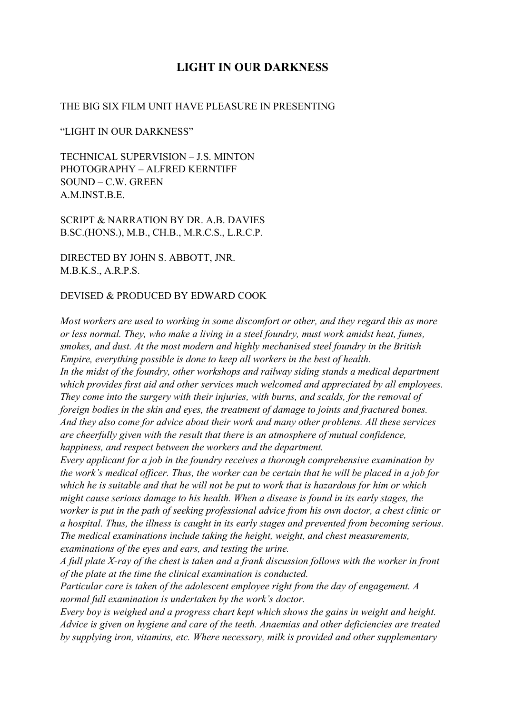## **LIGHT IN OUR DARKNESS**

## THE BIG SIX FILM UNIT HAVE PLEASURE IN PRESENTING

"LIGHT IN OUR DARKNESS"

TECHNICAL SUPERVISION – J.S. MINTON PHOTOGRAPHY – ALFRED KERNTIFF SOUND – C.W. GREEN A.M.INST.B.E.

SCRIPT & NARRATION BY DR. A.B. DAVIES B.SC.(HONS.), M.B., CH.B., M.R.C.S., L.R.C.P.

DIRECTED BY JOHN S. ABBOTT, JNR. M.B.K.S., A.R.P.S.

DEVISED & PRODUCED BY EDWARD COOK

*Most workers are used to working in some discomfort or other, and they regard this as more or less normal. They, who make a living in a steel foundry, must work amidst heat, fumes, smokes, and dust. At the most modern and highly mechanised steel foundry in the British Empire, everything possible is done to keep all workers in the best of health.* 

*In the midst of the foundry, other workshops and railway siding stands a medical department which provides first aid and other services much welcomed and appreciated by all employees. They come into the surgery with their injuries, with burns, and scalds, for the removal of foreign bodies in the skin and eyes, the treatment of damage to joints and fractured bones. And they also come for advice about their work and many other problems. All these services are cheerfully given with the result that there is an atmosphere of mutual confidence, happiness, and respect between the workers and the department.* 

*Every applicant for a job in the foundry receives a thorough comprehensive examination by the work's medical officer. Thus, the worker can be certain that he will be placed in a job for which he is suitable and that he will not be put to work that is hazardous for him or which might cause serious damage to his health. When a disease is found in its early stages, the worker is put in the path of seeking professional advice from his own doctor, a chest clinic or a hospital. Thus, the illness is caught in its early stages and prevented from becoming serious. The medical examinations include taking the height, weight, and chest measurements, examinations of the eyes and ears, and testing the urine.*

*A full plate X-ray of the chest is taken and a frank discussion follows with the worker in front of the plate at the time the clinical examination is conducted.* 

*Particular care is taken of the adolescent employee right from the day of engagement. A normal full examination is undertaken by the work's doctor.*

*Every boy is weighed and a progress chart kept which shows the gains in weight and height. Advice is given on hygiene and care of the teeth. Anaemias and other deficiencies are treated by supplying iron, vitamins, etc. Where necessary, milk is provided and other supplementary*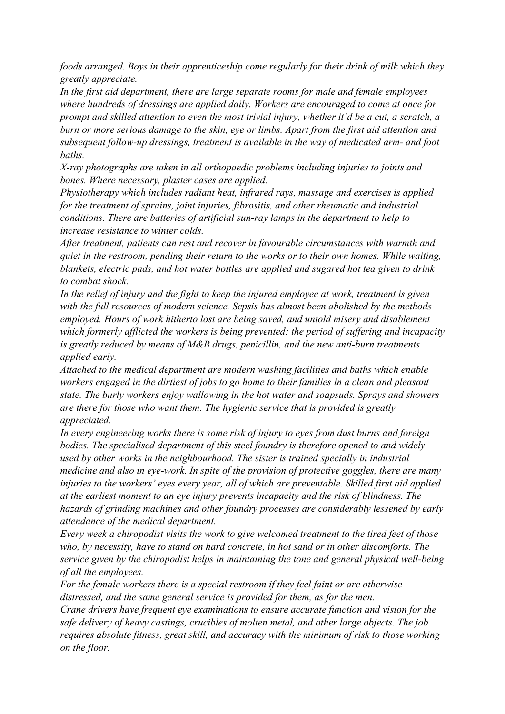*foods arranged. Boys in their apprenticeship come regularly for their drink of milk which they greatly appreciate.* 

*In the first aid department, there are large separate rooms for male and female employees where hundreds of dressings are applied daily. Workers are encouraged to come at once for prompt and skilled attention to even the most trivial injury, whether it'd be a cut, a scratch, a burn or more serious damage to the skin, eye or limbs. Apart from the first aid attention and subsequent follow-up dressings, treatment is available in the way of medicated arm- and foot baths.*

*X-ray photographs are taken in all orthopaedic problems including injuries to joints and bones. Where necessary, plaster cases are applied.* 

*Physiotherapy which includes radiant heat, infrared rays, massage and exercises is applied for the treatment of sprains, joint injuries, fibrositis, and other rheumatic and industrial conditions. There are batteries of artificial sun-ray lamps in the department to help to increase resistance to winter colds.*

*After treatment, patients can rest and recover in favourable circumstances with warmth and quiet in the restroom, pending their return to the works or to their own homes. While waiting, blankets, electric pads, and hot water bottles are applied and sugared hot tea given to drink to combat shock.* 

*In the relief of injury and the fight to keep the injured employee at work, treatment is given with the full resources of modern science. Sepsis has almost been abolished by the methods employed. Hours of work hitherto lost are being saved, and untold misery and disablement which formerly afflicted the workers is being prevented: the period of suffering and incapacity is greatly reduced by means of M&B drugs, penicillin, and the new anti-burn treatments applied early.* 

*Attached to the medical department are modern washing facilities and baths which enable workers engaged in the dirtiest of jobs to go home to their families in a clean and pleasant state. The burly workers enjoy wallowing in the hot water and soapsuds. Sprays and showers are there for those who want them. The hygienic service that is provided is greatly appreciated.* 

*In every engineering works there is some risk of injury to eyes from dust burns and foreign bodies. The specialised department of this steel foundry is therefore opened to and widely used by other works in the neighbourhood. The sister is trained specially in industrial medicine and also in eye-work. In spite of the provision of protective goggles, there are many injuries to the workers' eyes every year, all of which are preventable. Skilled first aid applied at the earliest moment to an eye injury prevents incapacity and the risk of blindness. The hazards of grinding machines and other foundry processes are considerably lessened by early attendance of the medical department.* 

*Every week a chiropodist visits the work to give welcomed treatment to the tired feet of those who, by necessity, have to stand on hard concrete, in hot sand or in other discomforts. The service given by the chiropodist helps in maintaining the tone and general physical well-being of all the employees.* 

*For the female workers there is a special restroom if they feel faint or are otherwise distressed, and the same general service is provided for them, as for the men. Crane drivers have frequent eye examinations to ensure accurate function and vision for the safe delivery of heavy castings, crucibles of molten metal, and other large objects. The job requires absolute fitness, great skill, and accuracy with the minimum of risk to those working on the floor.*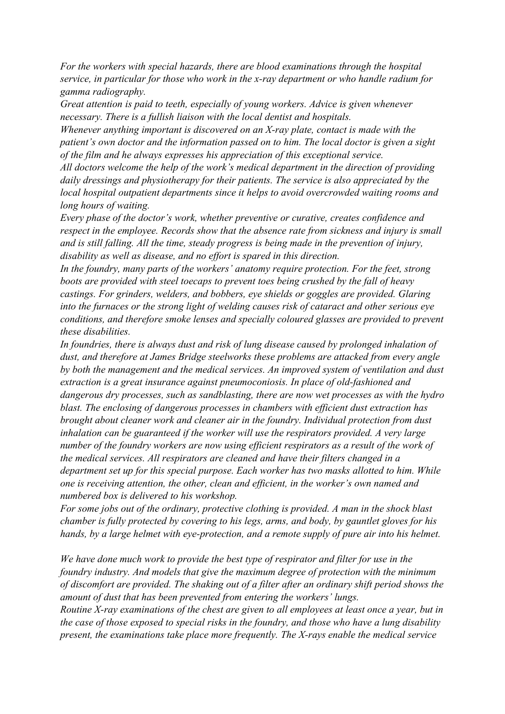*For the workers with special hazards, there are blood examinations through the hospital service, in particular for those who work in the x-ray department or who handle radium for gamma radiography.*

*Great attention is paid to teeth, especially of young workers. Advice is given whenever necessary. There is a fullish liaison with the local dentist and hospitals.* 

*Whenever anything important is discovered on an X-ray plate, contact is made with the patient's own doctor and the information passed on to him. The local doctor is given a sight of the film and he always expresses his appreciation of this exceptional service.* 

*All doctors welcome the help of the work's medical department in the direction of providing daily dressings and physiotherapy for their patients. The service is also appreciated by the local hospital outpatient departments since it helps to avoid overcrowded waiting rooms and long hours of waiting.* 

*Every phase of the doctor's work, whether preventive or curative, creates confidence and respect in the employee. Records show that the absence rate from sickness and injury is small and is still falling. All the time, steady progress is being made in the prevention of injury, disability as well as disease, and no effort is spared in this direction.* 

*In the foundry, many parts of the workers' anatomy require protection. For the feet, strong boots are provided with steel toecaps to prevent toes being crushed by the fall of heavy castings. For grinders, welders, and bobbers, eye shields or goggles are provided. Glaring into the furnaces or the strong light of welding causes risk of cataract and other serious eye conditions, and therefore smoke lenses and specially coloured glasses are provided to prevent these disabilities.* 

*In foundries, there is always dust and risk of lung disease caused by prolonged inhalation of dust, and therefore at James Bridge steelworks these problems are attacked from every angle by both the management and the medical services. An improved system of ventilation and dust extraction is a great insurance against pneumoconiosis. In place of old-fashioned and dangerous dry processes, such as sandblasting, there are now wet processes as with the hydro blast. The enclosing of dangerous processes in chambers with efficient dust extraction has brought about cleaner work and cleaner air in the foundry. Individual protection from dust inhalation can be guaranteed if the worker will use the respirators provided. A very large number of the foundry workers are now using efficient respirators as a result of the work of the medical services. All respirators are cleaned and have their filters changed in a department set up for this special purpose. Each worker has two masks allotted to him. While one is receiving attention, the other, clean and efficient, in the worker's own named and numbered box is delivered to his workshop.* 

*For some jobs out of the ordinary, protective clothing is provided. A man in the shock blast chamber is fully protected by covering to his legs, arms, and body, by gauntlet gloves for his hands, by a large helmet with eye-protection, and a remote supply of pure air into his helmet.* 

*We have done much work to provide the best type of respirator and filter for use in the foundry industry. And models that give the maximum degree of protection with the minimum of discomfort are provided. The shaking out of a filter after an ordinary shift period shows the amount of dust that has been prevented from entering the workers' lungs.*

*Routine X-ray examinations of the chest are given to all employees at least once a year, but in the case of those exposed to special risks in the foundry, and those who have a lung disability present, the examinations take place more frequently. The X-rays enable the medical service*